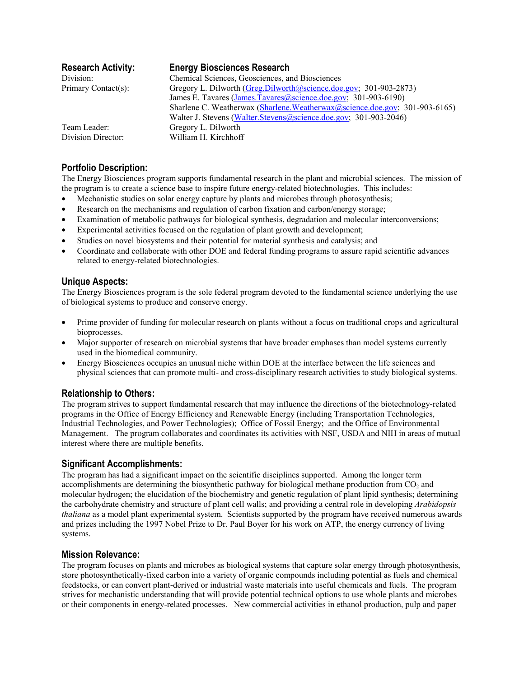| <b>Research Activity:</b> | <b>Energy Biosciences Research</b>                                           |
|---------------------------|------------------------------------------------------------------------------|
| Division:                 | Chemical Sciences, Geosciences, and Biosciences                              |
| Primary Contact(s):       | Gregory L. Dilworth (Greg.Dilworth@science.doe.gov; 301-903-2873)            |
|                           | James E. Tavares (James.Tavares@science.doe.gov; 301-903-6190)               |
|                           | Sharlene C. Weatherwax (Sharlene. Weatherwax @science.doe.gov; 301-903-6165) |
|                           | Walter J. Stevens (Walter.Stevens@science.doe.gov; 301-903-2046)             |
| Team Leader:              | Gregory L. Dilworth                                                          |
| Division Director:        | William H. Kirchhoff                                                         |

# **Portfolio Description:**

The Energy Biosciences program supports fundamental research in the plant and microbial sciences. The mission of the program is to create a science base to inspire future energy-related biotechnologies. This includes:

- Mechanistic studies on solar energy capture by plants and microbes through photosynthesis;
- Research on the mechanisms and regulation of carbon fixation and carbon/energy storage;
- Examination of metabolic pathways for biological synthesis, degradation and molecular interconversions;
- Experimental activities focused on the regulation of plant growth and development;
- Studies on novel biosystems and their potential for material synthesis and catalysis; and
- Coordinate and collaborate with other DOE and federal funding programs to assure rapid scientific advances related to energy-related biotechnologies.

## **Unique Aspects:**

The Energy Biosciences program is the sole federal program devoted to the fundamental science underlying the use of biological systems to produce and conserve energy.

- Prime provider of funding for molecular research on plants without a focus on traditional crops and agricultural bioprocesses.
- Major supporter of research on microbial systems that have broader emphases than model systems currently used in the biomedical community.
- Energy Biosciences occupies an unusual niche within DOE at the interface between the life sciences and physical sciences that can promote multi- and cross-disciplinary research activities to study biological systems.

# **Relationship to Others:**

The program strives to support fundamental research that may influence the directions of the biotechnology-related programs in the Office of Energy Efficiency and Renewable Energy (including Transportation Technologies, Industrial Technologies, and Power Technologies); Office of Fossil Energy; and the Office of Environmental Management. The program collaborates and coordinates its activities with NSF, USDA and NIH in areas of mutual interest where there are multiple benefits.

# **Significant Accomplishments:**

The program has had a significant impact on the scientific disciplines supported. Among the longer term accomplishments are determining the biosynthetic pathway for biological methane production from  $CO<sub>2</sub>$  and molecular hydrogen; the elucidation of the biochemistry and genetic regulation of plant lipid synthesis; determining the carbohydrate chemistry and structure of plant cell walls; and providing a central role in developing *Arabidopsis thaliana* as a model plant experimental system. Scientists supported by the program have received numerous awards and prizes including the 1997 Nobel Prize to Dr. Paul Boyer for his work on ATP, the energy currency of living systems.

#### **Mission Relevance:**

The program focuses on plants and microbes as biological systems that capture solar energy through photosynthesis, store photosynthetically-fixed carbon into a variety of organic compounds including potential as fuels and chemical feedstocks, or can convert plant-derived or industrial waste materials into useful chemicals and fuels. The program strives for mechanistic understanding that will provide potential technical options to use whole plants and microbes or their components in energy-related processes. New commercial activities in ethanol production, pulp and paper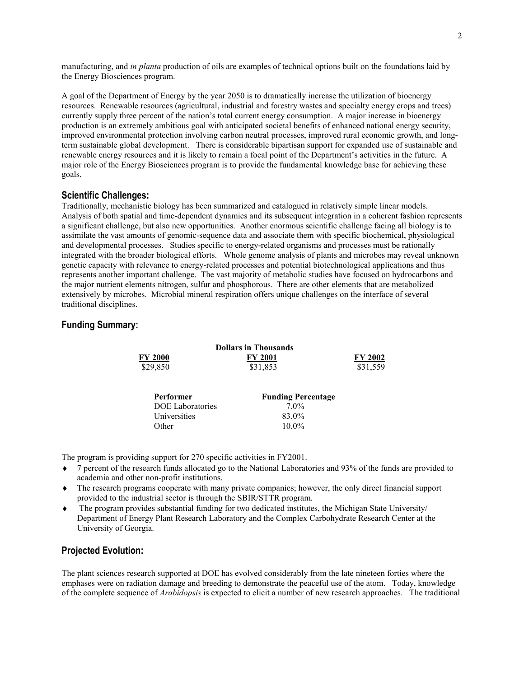manufacturing, and *in planta* production of oils are examples of technical options built on the foundations laid by the Energy Biosciences program.

A goal of the Department of Energy by the year 2050 is to dramatically increase the utilization of bioenergy resources. Renewable resources (agricultural, industrial and forestry wastes and specialty energy crops and trees) currently supply three percent of the nation's total current energy consumption. A major increase in bioenergy production is an extremely ambitious goal with anticipated societal benefits of enhanced national energy security, improved environmental protection involving carbon neutral processes, improved rural economic growth, and longterm sustainable global development. There is considerable bipartisan support for expanded use of sustainable and renewable energy resources and it is likely to remain a focal point of the Department's activities in the future. A major role of the Energy Biosciences program is to provide the fundamental knowledge base for achieving these goals.

#### **Scientific Challenges:**

Traditionally, mechanistic biology has been summarized and catalogued in relatively simple linear models. Analysis of both spatial and time-dependent dynamics and its subsequent integration in a coherent fashion represents a significant challenge, but also new opportunities. Another enormous scientific challenge facing all biology is to assimilate the vast amounts of genomic-sequence data and associate them with specific biochemical, physiological and developmental processes. Studies specific to energy-related organisms and processes must be rationally integrated with the broader biological efforts. Whole genome analysis of plants and microbes may reveal unknown genetic capacity with relevance to energy-related processes and potential biotechnological applications and thus represents another important challenge. The vast majority of metabolic studies have focused on hydrocarbons and the major nutrient elements nitrogen, sulfur and phosphorous. There are other elements that are metabolized extensively by microbes. Microbial mineral respiration offers unique challenges on the interface of several traditional disciplines.

## **Funding Summary:**

|                         | <b>Dollars in Thousands</b> |                |
|-------------------------|-----------------------------|----------------|
| FY 2000                 | <b>FY 2001</b>              | <b>FY 2002</b> |
| \$29,850                | \$31,853                    | \$31,559       |
|                         |                             |                |
| <b>Performer</b>        | <b>Funding Percentage</b>   |                |
| <b>DOE</b> Laboratories | $7.0\%$                     |                |
| Universities            | 83.0%                       |                |
| Other                   | $10.0\%$                    |                |
|                         |                             |                |

The program is providing support for 270 specific activities in FY2001.

- ♦ 7 percent of the research funds allocated go to the National Laboratories and 93% of the funds are provided to academia and other non-profit institutions.
- ♦ The research programs cooperate with many private companies; however, the only direct financial support provided to the industrial sector is through the SBIR/STTR program.
- ♦ The program provides substantial funding for two dedicated institutes, the Michigan State University/ Department of Energy Plant Research Laboratory and the Complex Carbohydrate Research Center at the University of Georgia.

### **Projected Evolution:**

The plant sciences research supported at DOE has evolved considerably from the late nineteen forties where the emphases were on radiation damage and breeding to demonstrate the peaceful use of the atom. Today, knowledge of the complete sequence of *Arabidopsis* is expected to elicit a number of new research approaches. The traditional